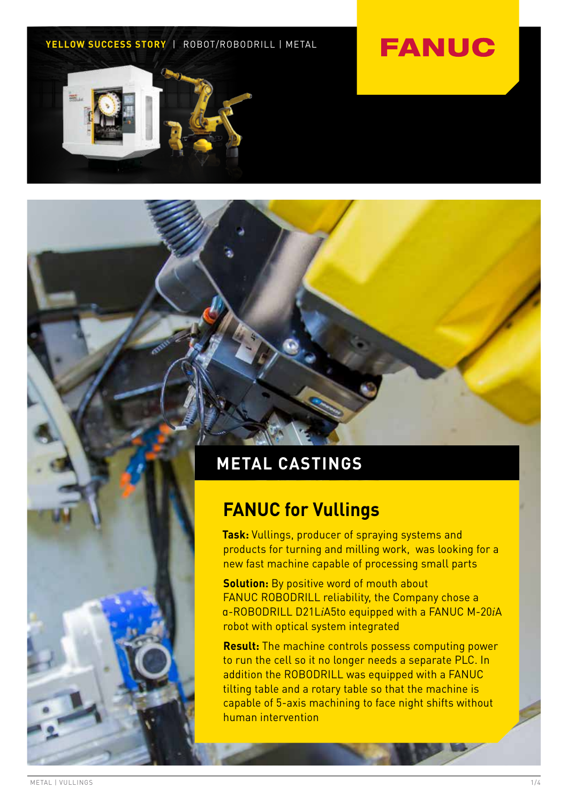### **YELLOW SUCCESS STORY** | ROBOT/ROBODRILL | METAL

## **FANUC**



### **METAL CASTINGS**

### **FANUC for Vullings**

**Task:** Vullings, producer of spraying systems and products for turning and milling work, was looking for a new fast machine capable of processing small parts

**Solution:** By positive word of mouth about FANUC ROBODRILL reliability, the Company chose a α-ROBODRILL D21L*i*A5to equipped with a FANUC M-20*i*A robot with optical system integrated

**Result:** The machine controls possess computing power to run the cell so it no longer needs a separate PLC. In addition the ROBODRILL was equipped with a FANUC tilting table and a rotary table so that the machine is capable of 5-axis machining to face night shifts without human intervention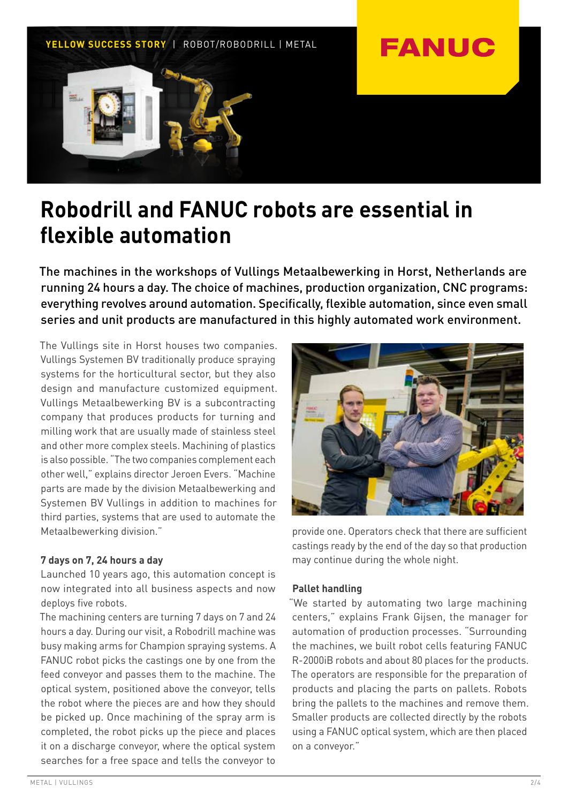

### **Robodrill and FANUC robots are essential in flexible automation**

The machines in the workshops of Vullings Metaalbewerking in Horst, Netherlands are running 24 hours a day. The choice of machines, production organization, CNC programs: everything revolves around automation. Specifically, flexible automation, since even small series and unit products are manufactured in this highly automated work environment.

The Vullings site in Horst houses two companies. Vullings Systemen BV traditionally produce spraying systems for the horticultural sector, but they also design and manufacture customized equipment. Vullings Metaalbewerking BV is a subcontracting company that produces products for turning and milling work that are usually made of stainless steel and other more complex steels. Machining of plastics is also possible. "The two companies complement each other well," explains director Jeroen Evers. "Machine parts are made by the division Metaalbewerking and Systemen BV Vullings in addition to machines for third parties, systems that are used to automate the Metaalbewerking division."

### **7 days on 7, 24 hours a day**

Launched 10 years ago, this automation concept is now integrated into all business aspects and now deploys five robots.

The machining centers are turning 7 days on 7 and 24 hours a day. During our visit, a Robodrill machine was busy making arms for Champion spraying systems. A FANUC robot picks the castings one by one from the feed conveyor and passes them to the machine. The optical system, positioned above the conveyor, tells the robot where the pieces are and how they should be picked up. Once machining of the spray arm is completed, the robot picks up the piece and places it on a discharge conveyor, where the optical system searches for a free space and tells the conveyor to



provide one. Operators check that there are sufficient castings ready by the end of the day so that production may continue during the whole night.

### **Pallet handling**

"We started by automating two large machining centers," explains Frank Gijsen, the manager for automation of production processes. "Surrounding the machines, we built robot cells featuring FANUC R-2000iB robots and about 80 places for the products. The operators are responsible for the preparation of products and placing the parts on pallets. Robots bring the pallets to the machines and remove them. Smaller products are collected directly by the robots using a FANUC optical system, which are then placed on a conveyor."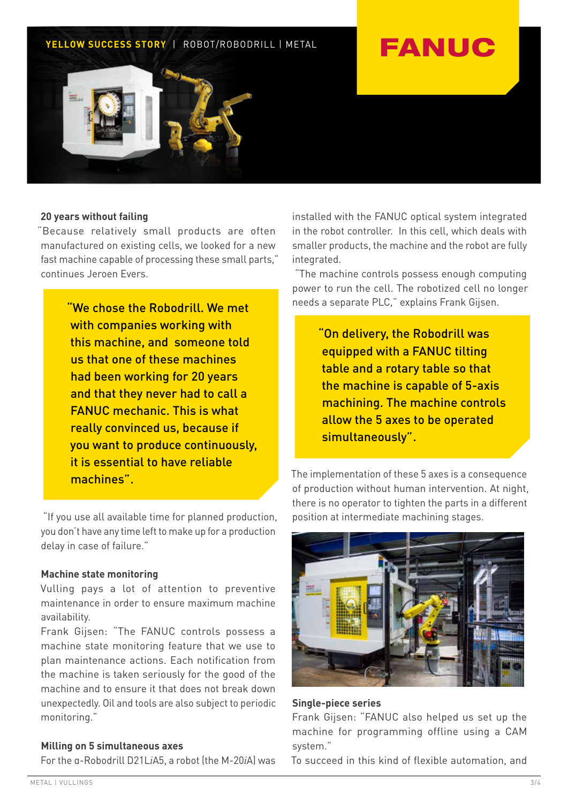### **YELLOW SUCCESS STORY** | ROBOT/ROBODRILL | METAL

# **FANUC**



### **20 years without failing**

"Because relatively small products are often manufactured on existing cells, we looked for a new fast machine capable of processing these small parts," continues Jeroen Evers.

> "We chose the Robodrill. We met with companies working with this machine, and someone told us that one of these machines had been working for 20 years and that they never had to call a FANUC mechanic. This is what really convinced us, because if you want to produce continuously, it is essential to have reliable machines".

 "If you use all available time for planned production, you don't have any time left to make up for a production delay in case of failure."

#### **Machine state monitoring**

Vulling pays a lot of attention to preventive maintenance in order to ensure maximum machine availability.

Frank Gijsen: "The FANUC controls possess a machine state monitoring feature that we use to plan maintenance actions. Each notification from the machine is taken seriously for the good of the machine and to ensure it that does not break down unexpectedly. Oil and tools are also subject to periodic monitoring."

### **Milling on 5 simultaneous axes**

For the α-Robodrill D21L*i*A5, a robot (the M-20*i*A) was

installed with the FANUC optical system integrated in the robot controller. In this cell, which deals with smaller products, the machine and the robot are fully integrated.

 "The machine controls possess enough computing power to run the cell. The robotized cell no longer needs a separate PLC," explains Frank Gijsen.

> "On delivery, the Robodrill was equipped with a FANUC tilting table and a rotary table so that the machine is capable of 5-axis machining. The machine controls allow the 5 axes to be operated simultaneously".

The implementation of these 5 axes is a consequence of production without human intervention. At night, there is no operator to tighten the parts in a different position at intermediate machining stages.



**Single-piece series**

Frank Gijsen: "FANUC also helped us set up the machine for programming offline using a CAM system."

To succeed in this kind of flexible automation, and